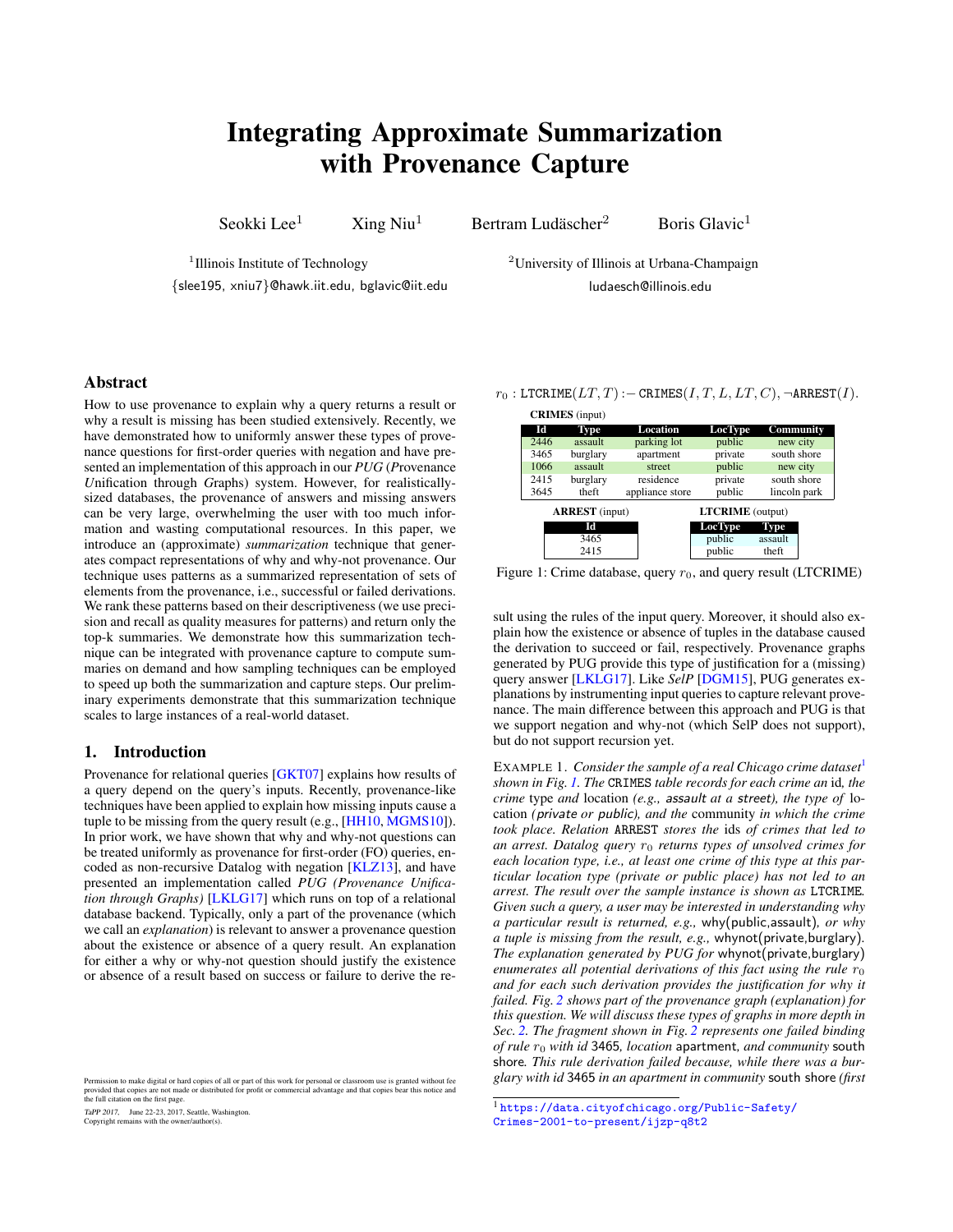# Integrating Approximate Summarization with Provenance Capture

Seokki Lee<sup>1</sup> Xing Niu<sup>1</sup> Bertram Ludäscher<sup>2</sup>

Boris Glavic<sup>1</sup>

<sup>1</sup>Illinois Institute of Technology {slee195, xniu7}@hawk.iit.edu, bglavic@iit.edu ludaesch@illinois.edu

<sup>2</sup>University of Illinois at Urbana-Champaign

# Abstract

How to use provenance to explain why a query returns a result or why a result is missing has been studied extensively. Recently, we have demonstrated how to uniformly answer these types of provenance questions for first-order queries with negation and have presented an implementation of this approach in our *PUG* (*P*rovenance *U*nification through *G*raphs) system. However, for realisticallysized databases, the provenance of answers and missing answers can be very large, overwhelming the user with too much information and wasting computational resources. In this paper, we introduce an (approximate) *summarization* technique that generates compact representations of why and why-not provenance. Our technique uses patterns as a summarized representation of sets of elements from the provenance, i.e., successful or failed derivations. We rank these patterns based on their descriptiveness (we use precision and recall as quality measures for patterns) and return only the top-k summaries. We demonstrate how this summarization technique can be integrated with provenance capture to compute summaries on demand and how sampling techniques can be employed to speed up both the summarization and capture steps. Our preliminary experiments demonstrate that this summarization technique scales to large instances of a real-world dataset.

# 1. Introduction

Provenance for relational queries [\[GKT07\]](#page-5-0) explains how results of a query depend on the query's inputs. Recently, provenance-like techniques have been applied to explain how missing inputs cause a tuple to be missing from the query result (e.g., [\[HH10,](#page-5-1) [MGMS10\]](#page-5-2)). In prior work, we have shown that why and why-not questions can be treated uniformly as provenance for first-order (FO) queries, encoded as non-recursive Datalog with negation [\[KLZ13\]](#page-5-3), and have presented an implementation called *PUG (Provenance Unification through Graphs)* [\[LKLG17\]](#page-5-4) which runs on top of a relational database backend. Typically, only a part of the provenance (which we call an *explanation*) is relevant to answer a provenance question about the existence or absence of a query result. An explanation for either a why or why-not question should justify the existence or absence of a result based on success or failure to derive the re-

Permission to make digital or hard copies of all or part of this work for personal or classroom use is granted without fee provided that copies are not made or distributed for profit or commercial advantage and that copies bear this notice and the full citation on the first page.

TaPP 2017, June 22-23, 2017, Seattle, Washington. Copyright remains with the owner/author(s).

<span id="page-0-1"></span> $r_0$ : LTCRIME $(LT, T)$ : – CRIMES $(I, T, L, LT, C)$ , ¬ARREST $(I)$ .

| <b>CRIMES</b> (input) |  |          |                 |                         |              |  |
|-----------------------|--|----------|-----------------|-------------------------|--------------|--|
| Id                    |  | Type     | Location        | LocType                 | Community    |  |
| 2446                  |  | assault  | parking lot     | public                  | new city     |  |
| 3465                  |  | burglary | apartment       | private                 | south shore  |  |
| 1066                  |  | assault  | street          | public                  | new city     |  |
| 2415                  |  | burglary | residence       | private                 | south shore  |  |
| 3645                  |  | theft    | appliance store | public                  | lincoln park |  |
| <b>ARREST</b> (input) |  |          |                 | <b>LTCRIME</b> (output) |              |  |
|                       |  | Id       |                 | LocTvpe                 | <b>Type</b>  |  |
|                       |  | 3465     |                 | public                  | assault      |  |
|                       |  | 2415     |                 | public                  | theft        |  |

Figure 1: Crime database, query  $r_0$ , and query result (LTCRIME)

sult using the rules of the input query. Moreover, it should also explain how the existence or absence of tuples in the database caused the derivation to succeed or fail, respectively. Provenance graphs generated by PUG provide this type of justification for a (missing) query answer [\[LKLG17\]](#page-5-4). Like *SelP* [\[DGM15\]](#page-5-5), PUG generates explanations by instrumenting input queries to capture relevant provenance. The main difference between this approach and PUG is that we support negation and why-not (which SelP does not support), but do not support recursion yet.

<span id="page-0-2"></span>EXAMPLE [1](#page-0-0). *Consider the sample of a real Chicago crime dataset*<sup>1</sup> *shown in Fig. [1.](#page-0-1) The* CRIMES *table records for each crime an* id*, the crime* type *and* location *(e.g.,* assault *at a* street*), the type of* location *(*private *or* public*), and the* community *in which the crime took place. Relation* ARREST *stores the* ids *of crimes that led to an arrest. Datalog query*  $r_0$  *returns types of unsolved crimes for each location type, i.e., at least one crime of this type at this particular location type (private or public place) has not led to an arrest. The result over the sample instance is shown as* LTCRIME*. Given such a query, a user may be interested in understanding why a particular result is returned, e.g.,* why(public,assault)*, or why a tuple is missing from the result, e.g.,* whynot(private,burglary)*. The explanation generated by PUG for* whynot(private,burglary) *enumerates all potential derivations of this fact using the rule*  $r_0$ *and for each such derivation provides the justification for why it failed. Fig. [2](#page-1-0) shows part of the provenance graph (explanation) for this question. We will discuss these types of graphs in more depth in Sec. [2.](#page-2-0) The fragment shown in Fig. [2](#page-1-0) represents one failed binding of rule* r<sup>0</sup> *with id* 3465*, location* apartment*, and community* south shore*. This rule derivation failed because, while there was a burglary with id* 3465 *in an apartment in community* south shore *(first*

<span id="page-0-0"></span><sup>1</sup> [https://data.cityofchicago.org/Public-Safety/](https://data.cityofchicago.org/Public-Safety/Crimes-2001-to-present/ijzp-q8t2) [Crimes-2001-to-present/ijzp-q8t2](https://data.cityofchicago.org/Public-Safety/Crimes-2001-to-present/ijzp-q8t2)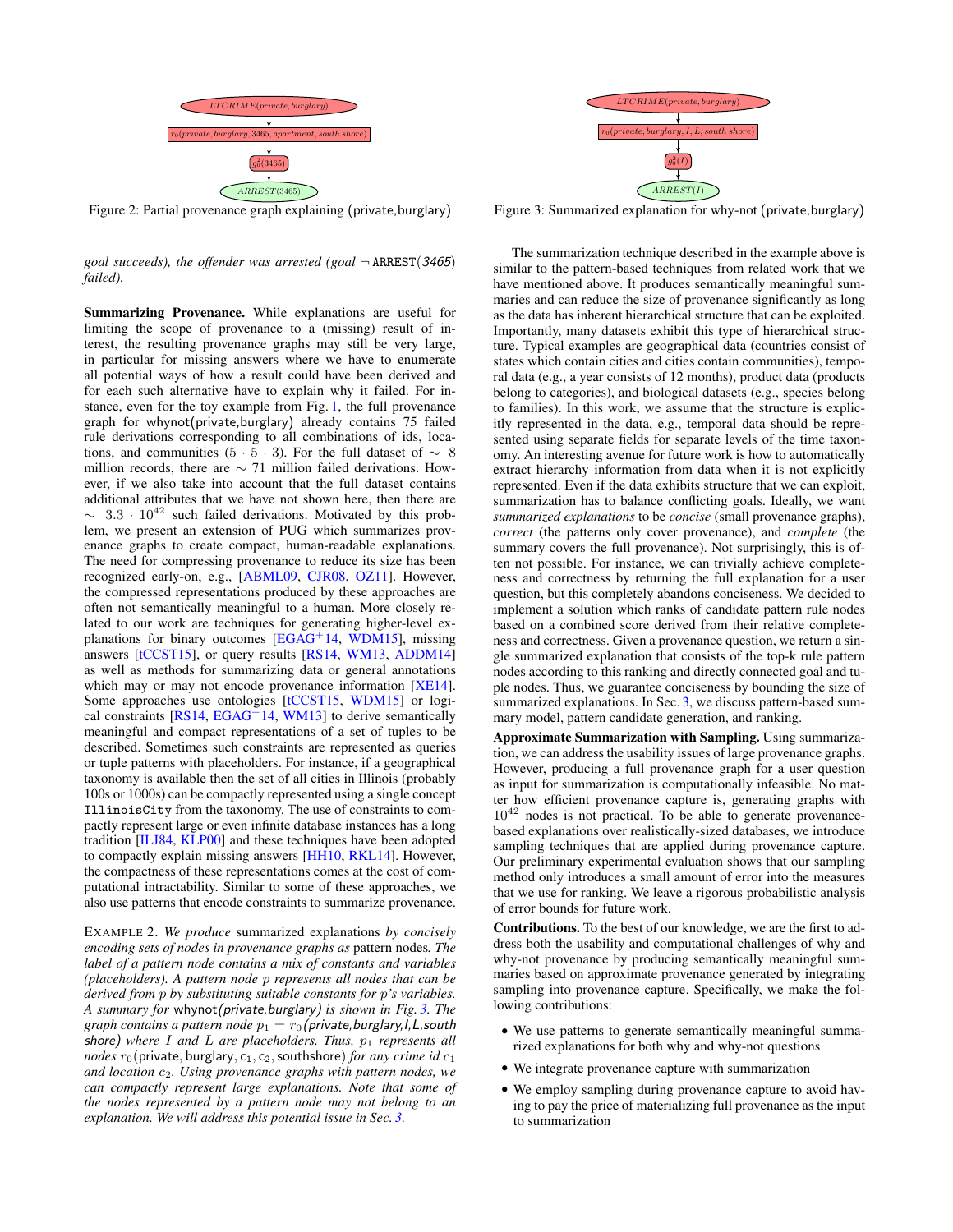<span id="page-1-0"></span>

Figure 2: Partial provenance graph explaining (private, burglary)

*goal succeeds), the offender was arrested (goal*  $\neg$  ARREST(3465) *failed).*

Summarizing Provenance. While explanations are useful for limiting the scope of provenance to a (missing) result of interest, the resulting provenance graphs may still be very large, in particular for missing answers where we have to enumerate all potential ways of how a result could have been derived and for each such alternative have to explain why it failed. For instance, even for the toy example from Fig. [1,](#page-0-1) the full provenance graph for whynot(private,burglary) already contains 75 failed rule derivations corresponding to all combinations of ids, locations, and communities (5 · 5 · 3). For the full dataset of  $\sim 8$ million records, there are ∼ 71 million failed derivations. However, if we also take into account that the full dataset contains additional attributes that we have not shown here, then there are  $\sim$  3.3 ·  $10^{42}$  such failed derivations. Motivated by this problem, we present an extension of PUG which summarizes provenance graphs to create compact, human-readable explanations. The need for compressing provenance to reduce its size has been recognized early-on, e.g., [\[ABML09,](#page-5-6) [CJR08,](#page-5-7) [OZ11\]](#page-5-8). However, the compressed representations produced by these approaches are often not semantically meaningful to a human. More closely related to our work are techniques for generating higher-level ex-planations for binary outcomes [\[EGAG](#page-5-9)<sup>+</sup>14, [WDM15\]](#page-5-10), missing answers [\[tCCST15\]](#page-5-11), or query results [\[RS14,](#page-5-12) [WM13,](#page-5-13) [ADDM14\]](#page-5-14) as well as methods for summarizing data or general annotations which may or may not encode provenance information [\[XE14\]](#page-5-15). Some approaches use ontologies [\[tCCST15,](#page-5-11) [WDM15\]](#page-5-10) or logical constraints  $[RS14, EGAG<sup>+</sup>14, WM13]$  $[RS14, EGAG<sup>+</sup>14, WM13]$  $[RS14, EGAG<sup>+</sup>14, WM13]$  $[RS14, EGAG<sup>+</sup>14, WM13]$  $[RS14, EGAG<sup>+</sup>14, WM13]$  to derive semantically meaningful and compact representations of a set of tuples to be described. Sometimes such constraints are represented as queries or tuple patterns with placeholders. For instance, if a geographical taxonomy is available then the set of all cities in Illinois (probably 100s or 1000s) can be compactly represented using a single concept IllinoisCity from the taxonomy. The use of constraints to compactly represent large or even infinite database instances has a long tradition [\[ILJ84,](#page-5-16) [KLP00\]](#page-5-17) and these techniques have been adopted to compactly explain missing answers [\[HH10,](#page-5-1) [RKL14\]](#page-5-18). However, the compactness of these representations comes at the cost of computational intractability. Similar to some of these approaches, we also use patterns that encode constraints to summarize provenance.

EXAMPLE 2. *We produce* summarized explanations *by concisely encoding sets of nodes in provenance graphs as* pattern nodes*. The label of a pattern node contains a mix of constants and variables (placeholders). A pattern node* p *represents all nodes that can be derived from* p *by substituting suitable constants for* p*'s variables. A summary for* whynot(private,burglary) *is shown in Fig. [3.](#page-1-1) The graph contains a pattern node*  $p_1 = r_0$  *(private, burglary, I, L, south* shore) where I and L are placeholders. Thus,  $p_1$  represents all *nodes*  $r_0$ (private, burglary,  $c_1$ ,  $c_2$ , southshore) *for any crime id*  $c_1$ *and location*  $c_2$ *. Using provenance graphs with pattern nodes, we can compactly represent large explanations. Note that some of the nodes represented by a pattern node may not belong to an explanation. We will address this potential issue in Sec. [3.](#page-2-1)*

<span id="page-1-1"></span>

Figure 3: Summarized explanation for why-not (private,burglary)

The summarization technique described in the example above is similar to the pattern-based techniques from related work that we have mentioned above. It produces semantically meaningful summaries and can reduce the size of provenance significantly as long as the data has inherent hierarchical structure that can be exploited. Importantly, many datasets exhibit this type of hierarchical structure. Typical examples are geographical data (countries consist of states which contain cities and cities contain communities), temporal data (e.g., a year consists of 12 months), product data (products belong to categories), and biological datasets (e.g., species belong to families). In this work, we assume that the structure is explicitly represented in the data, e.g., temporal data should be represented using separate fields for separate levels of the time taxonomy. An interesting avenue for future work is how to automatically extract hierarchy information from data when it is not explicitly represented. Even if the data exhibits structure that we can exploit, summarization has to balance conflicting goals. Ideally, we want *summarized explanations* to be *concise* (small provenance graphs), *correct* (the patterns only cover provenance), and *complete* (the summary covers the full provenance). Not surprisingly, this is often not possible. For instance, we can trivially achieve completeness and correctness by returning the full explanation for a user question, but this completely abandons conciseness. We decided to implement a solution which ranks of candidate pattern rule nodes based on a combined score derived from their relative completeness and correctness. Given a provenance question, we return a single summarized explanation that consists of the top-k rule pattern nodes according to this ranking and directly connected goal and tuple nodes. Thus, we guarantee conciseness by bounding the size of summarized explanations. In Sec. [3,](#page-2-1) we discuss pattern-based summary model, pattern candidate generation, and ranking.

Approximate Summarization with Sampling. Using summarization, we can address the usability issues of large provenance graphs. However, producing a full provenance graph for a user question as input for summarization is computationally infeasible. No matter how efficient provenance capture is, generating graphs with  $10^{42}$  nodes is not practical. To be able to generate provenancebased explanations over realistically-sized databases, we introduce sampling techniques that are applied during provenance capture. Our preliminary experimental evaluation shows that our sampling method only introduces a small amount of error into the measures that we use for ranking. We leave a rigorous probabilistic analysis of error bounds for future work.

Contributions. To the best of our knowledge, we are the first to address both the usability and computational challenges of why and why-not provenance by producing semantically meaningful summaries based on approximate provenance generated by integrating sampling into provenance capture. Specifically, we make the following contributions:

- We use patterns to generate semantically meaningful summarized explanations for both why and why-not questions
- We integrate provenance capture with summarization
- We employ sampling during provenance capture to avoid having to pay the price of materializing full provenance as the input to summarization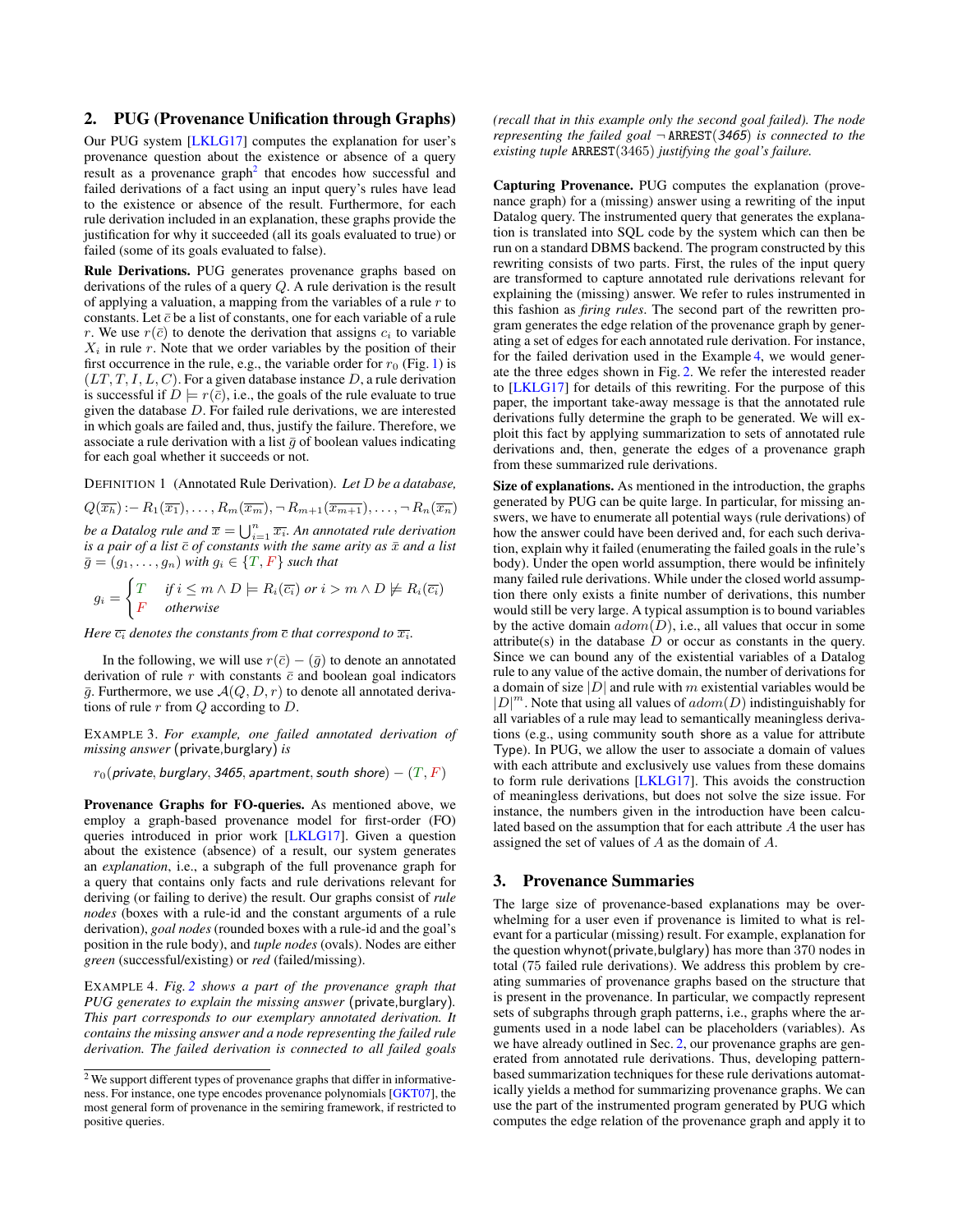# <span id="page-2-0"></span>2. PUG (Provenance Unification through Graphs)

Our PUG system [\[LKLG17\]](#page-5-4) computes the explanation for user's provenance question about the existence or absence of a query result as a provenance  $graph<sup>2</sup>$  $graph<sup>2</sup>$  $graph<sup>2</sup>$  that encodes how successful and failed derivations of a fact using an input query's rules have lead to the existence or absence of the result. Furthermore, for each rule derivation included in an explanation, these graphs provide the justification for why it succeeded (all its goals evaluated to true) or failed (some of its goals evaluated to false).

Rule Derivations. PUG generates provenance graphs based on derivations of the rules of a query Q. A rule derivation is the result of applying a valuation, a mapping from the variables of a rule  $r$  to constants. Let  $\bar{c}$  be a list of constants, one for each variable of a rule r. We use  $r(\bar{c})$  to denote the derivation that assigns  $c_i$  to variable  $X_i$  in rule r. Note that we order variables by the position of their first occurrence in the rule, e.g., the variable order for  $r_0$  (Fig. [1\)](#page-0-1) is  $(LT, T, I, L, C)$ . For a given database instance D, a rule derivation is successful if  $D \models r(\bar{c})$ , i.e., the goals of the rule evaluate to true given the database D. For failed rule derivations, we are interested in which goals are failed and, thus, justify the failure. Therefore, we associate a rule derivation with a list  $\bar{q}$  of boolean values indicating for each goal whether it succeeds or not.

DEFINITION 1 (Annotated Rule Derivation). *Let* D *be a database,*

 $Q(\overline{x_h})$  :−  $R_1(\overline{x_1}), \ldots, R_m(\overline{x_m}), \neg R_{m+1}(\overline{x_{m+1}}), \ldots, \neg R_n(\overline{x_n})$ 

*be a Datalog rule and*  $\overline{x} = \bigcup_{i=1}^{n} \overline{x_i}$ . An annotated rule derivation *is a pair of a list*  $\overline{c}$  *of constants with the same arity as*  $\overline{x}$  *and a list*  $\bar{g} = (g_1, \ldots, g_n)$  *with*  $g_i \in \{T, F\}$  *such that* 

$$
g_i = \begin{cases} T & \text{if } i \leq m \land D \models R_i(\overline{c_i}) \text{ or } i > m \land D \not\models R_i(\overline{c_i}) \\ F & \text{otherwise} \end{cases}
$$

*Here*  $\overline{c_i}$  *denotes the constants from*  $\overline{c}$  *that correspond to*  $\overline{x_i}$ *.* 

In the following, we will use  $r(\bar{c}) - (\bar{q})$  to denote an annotated derivation of rule r with constants  $\bar{c}$  and boolean goal indicators  $\bar{g}$ . Furthermore, we use  $\mathcal{A}(Q, D, r)$  to denote all annotated derivations of rule  $r$  from  $Q$  according to  $D$ .

EXAMPLE 3. *For example, one failed annotated derivation of missing answer* (private,burglary) *is*

 $r_0$ (private, burglary, 3465, apartment, south shore) –  $(T, F)$ 

Provenance Graphs for FO-queries. As mentioned above, we employ a graph-based provenance model for first-order (FO) queries introduced in prior work [\[LKLG17\]](#page-5-4). Given a question about the existence (absence) of a result, our system generates an *explanation*, i.e., a subgraph of the full provenance graph for a query that contains only facts and rule derivations relevant for deriving (or failing to derive) the result. Our graphs consist of *rule nodes* (boxes with a rule-id and the constant arguments of a rule derivation), *goal nodes* (rounded boxes with a rule-id and the goal's position in the rule body), and *tuple nodes* (ovals). Nodes are either *green* (successful/existing) or *red* (failed/missing).

<span id="page-2-3"></span>EXAMPLE 4. *Fig. [2](#page-1-0) shows a part of the provenance graph that PUG generates to explain the missing answer* (private,burglary)*. This part corresponds to our exemplary annotated derivation. It contains the missing answer and a node representing the failed rule derivation. The failed derivation is connected to all failed goals* *(recall that in this example only the second goal failed). The node representing the failed goal* ¬ ARREST(3465) *is connected to the existing tuple* ARREST(3465) *justifying the goal's failure.*

Capturing Provenance. PUG computes the explanation (provenance graph) for a (missing) answer using a rewriting of the input Datalog query. The instrumented query that generates the explanation is translated into SQL code by the system which can then be run on a standard DBMS backend. The program constructed by this rewriting consists of two parts. First, the rules of the input query are transformed to capture annotated rule derivations relevant for explaining the (missing) answer. We refer to rules instrumented in this fashion as *firing rules*. The second part of the rewritten program generates the edge relation of the provenance graph by generating a set of edges for each annotated rule derivation. For instance, for the failed derivation used in the Example [4,](#page-2-3) we would generate the three edges shown in Fig. [2.](#page-1-0) We refer the interested reader to [\[LKLG17\]](#page-5-4) for details of this rewriting. For the purpose of this paper, the important take-away message is that the annotated rule derivations fully determine the graph to be generated. We will exploit this fact by applying summarization to sets of annotated rule derivations and, then, generate the edges of a provenance graph from these summarized rule derivations.

Size of explanations. As mentioned in the introduction, the graphs generated by PUG can be quite large. In particular, for missing answers, we have to enumerate all potential ways (rule derivations) of how the answer could have been derived and, for each such derivation, explain why it failed (enumerating the failed goals in the rule's body). Under the open world assumption, there would be infinitely many failed rule derivations. While under the closed world assumption there only exists a finite number of derivations, this number would still be very large. A typical assumption is to bound variables by the active domain  $adom(D)$ , i.e., all values that occur in some attribute(s) in the database  $D$  or occur as constants in the query. Since we can bound any of the existential variables of a Datalog rule to any value of the active domain, the number of derivations for a domain of size  $|D|$  and rule with m existential variables would be  $|D|^m$ . Note that using all values of  $adom(D)$  indistinguishably for all variables of a rule may lead to semantically meaningless derivations (e.g., using community south shore as a value for attribute Type). In PUG, we allow the user to associate a domain of values with each attribute and exclusively use values from these domains to form rule derivations [\[LKLG17\]](#page-5-4). This avoids the construction of meaningless derivations, but does not solve the size issue. For instance, the numbers given in the introduction have been calculated based on the assumption that for each attribute A the user has assigned the set of values of A as the domain of A.

#### <span id="page-2-1"></span>3. Provenance Summaries

The large size of provenance-based explanations may be overwhelming for a user even if provenance is limited to what is relevant for a particular (missing) result. For example, explanation for the question whynot(private,bulglary) has more than 370 nodes in total (75 failed rule derivations). We address this problem by creating summaries of provenance graphs based on the structure that is present in the provenance. In particular, we compactly represent sets of subgraphs through graph patterns, i.e., graphs where the arguments used in a node label can be placeholders (variables). As we have already outlined in Sec. [2,](#page-2-0) our provenance graphs are generated from annotated rule derivations. Thus, developing patternbased summarization techniques for these rule derivations automatically yields a method for summarizing provenance graphs. We can use the part of the instrumented program generated by PUG which computes the edge relation of the provenance graph and apply it to

<span id="page-2-2"></span><sup>2</sup> We support different types of provenance graphs that differ in informativeness. For instance, one type encodes provenance polynomials [\[GKT07\]](#page-5-0), the most general form of provenance in the semiring framework, if restricted to positive queries.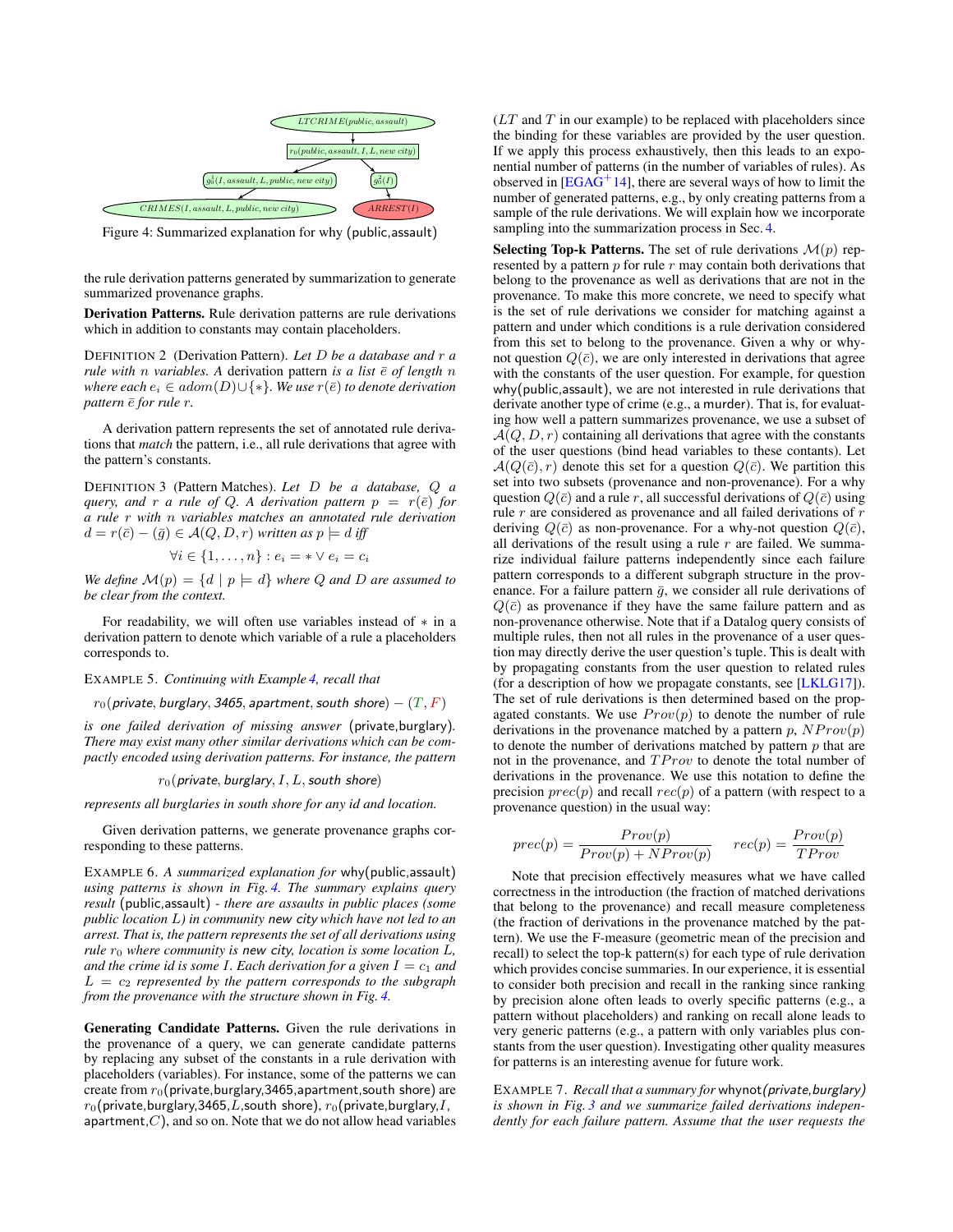<span id="page-3-0"></span>

Figure 4: Summarized explanation for why (public,assault)

the rule derivation patterns generated by summarization to generate summarized provenance graphs.

Derivation Patterns. Rule derivation patterns are rule derivations which in addition to constants may contain placeholders.

DEFINITION 2 (Derivation Pattern). *Let* D *be a database and* r *a rule with n variables.* A derivation pattern *is a list*  $\bar{e}$  *of length n where each*  $e_i$  ∈  $adom(D) \cup \{*\}$ *. We use*  $r(\bar{e})$  *to denote derivation pattern*  $\bar{e}$  *for rule*  $r$ *.* 

A derivation pattern represents the set of annotated rule derivations that *match* the pattern, i.e., all rule derivations that agree with the pattern's constants.

DEFINITION 3 (Pattern Matches). *Let* D *be a database,* Q *a query, and*  $r$  *a rule of Q. A derivation pattern*  $p = r(\bar{e})$  *for a rule* r *with* n *variables matches an annotated rule derivation*  $d = r(\bar{c}) - (\bar{g}) \in \mathcal{A}(Q, D, r)$  *written as*  $p \models d$  *iff* 

$$
\forall i \in \{1, \ldots, n\} : e_i = \ast \vee e_i = c_i
$$

*We define*  $\mathcal{M}(p) = \{d \mid p \models d\}$  *where Q and D are assumed to be clear from the context.*

For readability, we will often use variables instead of ∗ in a derivation pattern to denote which variable of a rule a placeholders corresponds to.

#### EXAMPLE 5. *Continuing with Example [4,](#page-2-3) recall that*

 $r_0$ (private, burglary, 3465, apartment, south shore) –  $(T, F)$ 

*is one failed derivation of missing answer* (private,burglary)*. There may exist many other similar derivations which can be compactly encoded using derivation patterns. For instance, the pattern*

 $r_0$ (private, burglary, I, L, south shore)

*represents all burglaries in south shore for any id and location.*

Given derivation patterns, we generate provenance graphs corresponding to these patterns.

EXAMPLE 6. *A summarized explanation for* why(public,assault) *using patterns is shown in Fig. [4.](#page-3-0) The summary explains query result* (public,assault) *- there are assaults in public places (some public location* L*) in community* new city *which have not led to an arrest. That is, the pattern represents the set of all derivations using rule*  $r_0$  *where community is new city, location is some location*  $\overline{L}$ *,* and the crime id is some I. Each derivation for a given  $I = c_1$  and  $L = c_2$  *represented by the pattern corresponds to the subgraph from the provenance with the structure shown in Fig. [4.](#page-3-0)*

Generating Candidate Patterns. Given the rule derivations in the provenance of a query, we can generate candidate patterns by replacing any subset of the constants in a rule derivation with placeholders (variables). For instance, some of the patterns we can create from  $r_0$ (private,burglary, 3465, apartment, south shore) are  $r_0$ (private,burglary, 3465, L, south shore),  $r_0$ (private, burglary, I, apartment, $C$ ), and so on. Note that we do not allow head variables  $(LT$  and  $T$  in our example) to be replaced with placeholders since the binding for these variables are provided by the user question. If we apply this process exhaustively, then this leads to an exponential number of patterns (in the number of variables of rules). As observed in  $[EGAG^+14]$  $[EGAG^+14]$ , there are several ways of how to limit the number of generated patterns, e.g., by only creating patterns from a sample of the rule derivations. We will explain how we incorporate sampling into the summarization process in Sec. [4.](#page-4-0)

**Selecting Top-k Patterns.** The set of rule derivations  $\mathcal{M}(p)$  represented by a pattern  $p$  for rule  $r$  may contain both derivations that belong to the provenance as well as derivations that are not in the provenance. To make this more concrete, we need to specify what is the set of rule derivations we consider for matching against a pattern and under which conditions is a rule derivation considered from this set to belong to the provenance. Given a why or whynot question  $Q(\bar{c})$ , we are only interested in derivations that agree with the constants of the user question. For example, for question why(public,assault), we are not interested in rule derivations that derivate another type of crime (e.g., a murder). That is, for evaluating how well a pattern summarizes provenance, we use a subset of  $\mathcal{A}(Q, D, r)$  containing all derivations that agree with the constants of the user questions (bind head variables to these contants). Let  $A(Q(\bar{c}), r)$  denote this set for a question  $Q(\bar{c})$ . We partition this set into two subsets (provenance and non-provenance). For a why question  $Q(\bar{c})$  and a rule r, all successful derivations of  $Q(\bar{c})$  using rule  $r$  are considered as provenance and all failed derivations of  $r$ deriving  $Q(\bar{c})$  as non-provenance. For a why-not question  $Q(\bar{c})$ , all derivations of the result using a rule  $r$  are failed. We summarize individual failure patterns independently since each failure pattern corresponds to a different subgraph structure in the provenance. For a failure pattern  $\bar{g}$ , we consider all rule derivations of  $Q(\bar{c})$  as provenance if they have the same failure pattern and as non-provenance otherwise. Note that if a Datalog query consists of multiple rules, then not all rules in the provenance of a user question may directly derive the user question's tuple. This is dealt with by propagating constants from the user question to related rules (for a description of how we propagate constants, see [\[LKLG17\]](#page-5-4)). The set of rule derivations is then determined based on the propagated constants. We use  $Prov(p)$  to denote the number of rule derivations in the provenance matched by a pattern p,  $NProv(p)$ to denote the number of derivations matched by pattern  $p$  that are not in the provenance, and  $TProv$  to denote the total number of derivations in the provenance. We use this notation to define the precision  $prec(p)$  and recall  $rec(p)$  of a pattern (with respect to a provenance question) in the usual way:

$$
prec(p) = \frac{Prov(p)}{Prov(p) + NProv(p)} \qquad rec(p) = \frac{Prov(p)}{TProv}
$$

Note that precision effectively measures what we have called correctness in the introduction (the fraction of matched derivations that belong to the provenance) and recall measure completeness (the fraction of derivations in the provenance matched by the pattern). We use the F-measure (geometric mean of the precision and recall) to select the top-k pattern(s) for each type of rule derivation which provides concise summaries. In our experience, it is essential to consider both precision and recall in the ranking since ranking by precision alone often leads to overly specific patterns (e.g., a pattern without placeholders) and ranking on recall alone leads to very generic patterns (e.g., a pattern with only variables plus constants from the user question). Investigating other quality measures for patterns is an interesting avenue for future work.

EXAMPLE 7. *Recall that a summary for* whynot(private,burglary) *is shown in Fig. [3](#page-1-1) and we summarize failed derivations independently for each failure pattern. Assume that the user requests the*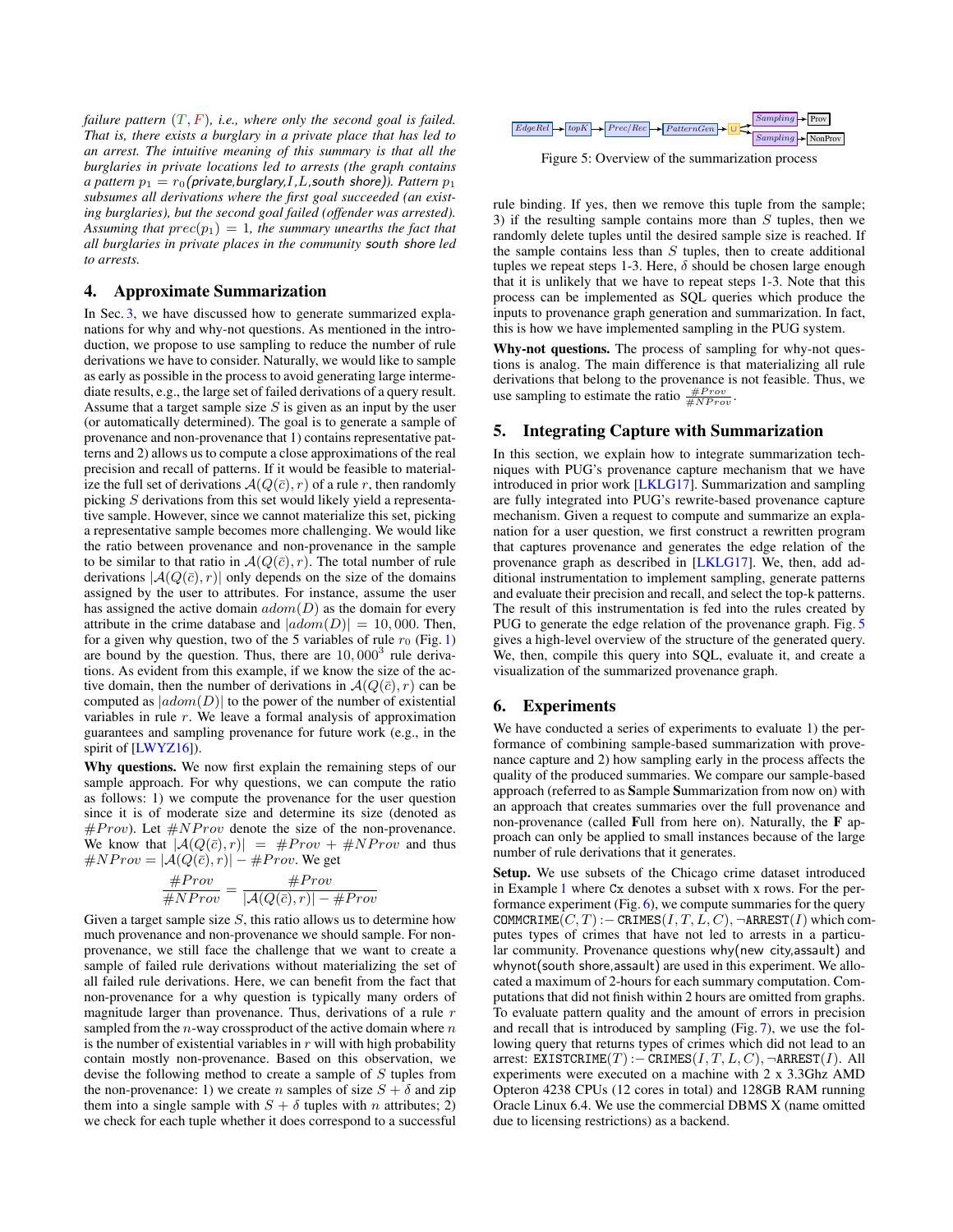*failure pattern* (T, F)*, i.e., where only the second goal is failed. That is, there exists a burglary in a private place that has led to an arrest. The intuitive meaning of this summary is that all the burglaries in private locations led to arrests (the graph contains a pattern*  $p_1 = r_0$ (private, burglary, I, L, south shore)). Pattern  $p_1$ *subsumes all derivations where the first goal succeeded (an existing burglaries), but the second goal failed (offender was arrested).* Assuming that  $prec(p_1) = 1$ , the summary unearths the fact that *all burglaries in private places in the community* south shore *led to arrests.*

### <span id="page-4-0"></span>4. Approximate Summarization

In Sec. [3,](#page-2-1) we have discussed how to generate summarized explanations for why and why-not questions. As mentioned in the introduction, we propose to use sampling to reduce the number of rule derivations we have to consider. Naturally, we would like to sample as early as possible in the process to avoid generating large intermediate results, e.g., the large set of failed derivations of a query result. Assume that a target sample size  $S$  is given as an input by the user (or automatically determined). The goal is to generate a sample of provenance and non-provenance that 1) contains representative patterns and 2) allows us to compute a close approximations of the real precision and recall of patterns. If it would be feasible to materialize the full set of derivations  $A(Q(\bar{c}), r)$  of a rule r, then randomly picking S derivations from this set would likely yield a representative sample. However, since we cannot materialize this set, picking a representative sample becomes more challenging. We would like the ratio between provenance and non-provenance in the sample to be similar to that ratio in  $A(Q(\bar{c}), r)$ . The total number of rule derivations  $|A(Q(\bar{c}), r)|$  only depends on the size of the domains assigned by the user to attributes. For instance, assume the user has assigned the active domain  $adom(D)$  as the domain for every attribute in the crime database and  $|adom(D)| = 10,000$ . Then, for a given why question, two of the 5 variables of rule  $r_0$  (Fig. [1\)](#page-0-1) are bound by the question. Thus, there are  $10,000^3$  rule derivations. As evident from this example, if we know the size of the active domain, then the number of derivations in  $A(Q(\bar{c}), r)$  can be computed as  $|adom(D)|$  to the power of the number of existential variables in rule  $r$ . We leave a formal analysis of approximation guarantees and sampling provenance for future work (e.g., in the spirit of [\[LWYZ16\]](#page-5-19)).

Why questions. We now first explain the remaining steps of our sample approach. For why questions, we can compute the ratio as follows: 1) we compute the provenance for the user question since it is of moderate size and determine its size (denoted as  $#Prov$ ). Let  $#NProv$  denote the size of the non-provenance. We know that  $|A(Q(\bar{c}), r)| = #Prov + #NProv$  and thus  $\#NProv = |\mathcal{A}(Q(\bar{c}), r)| - \#Prov$ . We get

$$
\frac{\#Prov}{\#NProv} = \frac{\#Prov}{|\mathcal{A}(Q(\bar{c}), r)| - \#Prov}
$$

Given a target sample size  $S$ , this ratio allows us to determine how much provenance and non-provenance we should sample. For nonprovenance, we still face the challenge that we want to create a sample of failed rule derivations without materializing the set of all failed rule derivations. Here, we can benefit from the fact that non-provenance for a why question is typically many orders of magnitude larger than provenance. Thus, derivations of a rule r sampled from the  $n$ -way crossproduct of the active domain where  $n$ is the number of existential variables in  $r$  will with high probability contain mostly non-provenance. Based on this observation, we devise the following method to create a sample of S tuples from the non-provenance: 1) we create *n* samples of size  $S + \delta$  and zip them into a single sample with  $S + \delta$  tuples with n attributes; 2) we check for each tuple whether it does correspond to a successful

<span id="page-4-1"></span>

Figure 5: Overview of the summarization process

rule binding. If yes, then we remove this tuple from the sample; 3) if the resulting sample contains more than  $S$  tuples, then we randomly delete tuples until the desired sample size is reached. If the sample contains less than  $S$  tuples, then to create additional tuples we repeat steps 1-3. Here,  $\delta$  should be chosen large enough that it is unlikely that we have to repeat steps 1-3. Note that this process can be implemented as SQL queries which produce the inputs to provenance graph generation and summarization. In fact, this is how we have implemented sampling in the PUG system.

Why-not questions. The process of sampling for why-not questions is analog. The main difference is that materializing all rule derivations that belong to the provenance is not feasible. Thus, we use sampling to estimate the ratio  $\frac{\# Prov}{\# N Prov}$ .

#### 5. Integrating Capture with Summarization

In this section, we explain how to integrate summarization techniques with PUG's provenance capture mechanism that we have introduced in prior work [\[LKLG17\]](#page-5-4). Summarization and sampling are fully integrated into PUG's rewrite-based provenance capture mechanism. Given a request to compute and summarize an explanation for a user question, we first construct a rewritten program that captures provenance and generates the edge relation of the provenance graph as described in [\[LKLG17\]](#page-5-4). We, then, add additional instrumentation to implement sampling, generate patterns and evaluate their precision and recall, and select the top-k patterns. The result of this instrumentation is fed into the rules created by PUG to generate the edge relation of the provenance graph. Fig. [5](#page-4-1) gives a high-level overview of the structure of the generated query. We, then, compile this query into SQL, evaluate it, and create a visualization of the summarized provenance graph.

# 6. Experiments

We have conducted a series of experiments to evaluate 1) the performance of combining sample-based summarization with provenance capture and 2) how sampling early in the process affects the quality of the produced summaries. We compare our sample-based approach (referred to as Sample Summarization from now on) with an approach that creates summaries over the full provenance and non-provenance (called Full from here on). Naturally, the F approach can only be applied to small instances because of the large number of rule derivations that it generates.

Setup. We use subsets of the Chicago crime dataset introduced in Example [1](#page-0-2) where Cx denotes a subset with x rows. For the performance experiment (Fig.  $6$ ), we compute summaries for the query COMMCRIME $(C, T)$ :  $-$  CRIMES $(I, T, L, C)$ ,  $\neg$ ARREST $(I)$  which computes types of crimes that have not led to arrests in a particular community. Provenance questions why(new city,assault) and whynot(south shore, assault) are used in this experiment. We allocated a maximum of 2-hours for each summary computation. Computations that did not finish within 2 hours are omitted from graphs. To evaluate pattern quality and the amount of errors in precision and recall that is introduced by sampling (Fig. [7\)](#page-5-20), we use the following query that returns types of crimes which did not lead to an arrest: EXISTCRIME $(T)$ : - CRIMES $(I, T, L, C)$ , ¬ARREST $(I)$ . All experiments were executed on a machine with 2 x 3.3Ghz AMD Opteron 4238 CPUs (12 cores in total) and 128GB RAM running Oracle Linux 6.4. We use the commercial DBMS X (name omitted due to licensing restrictions) as a backend.